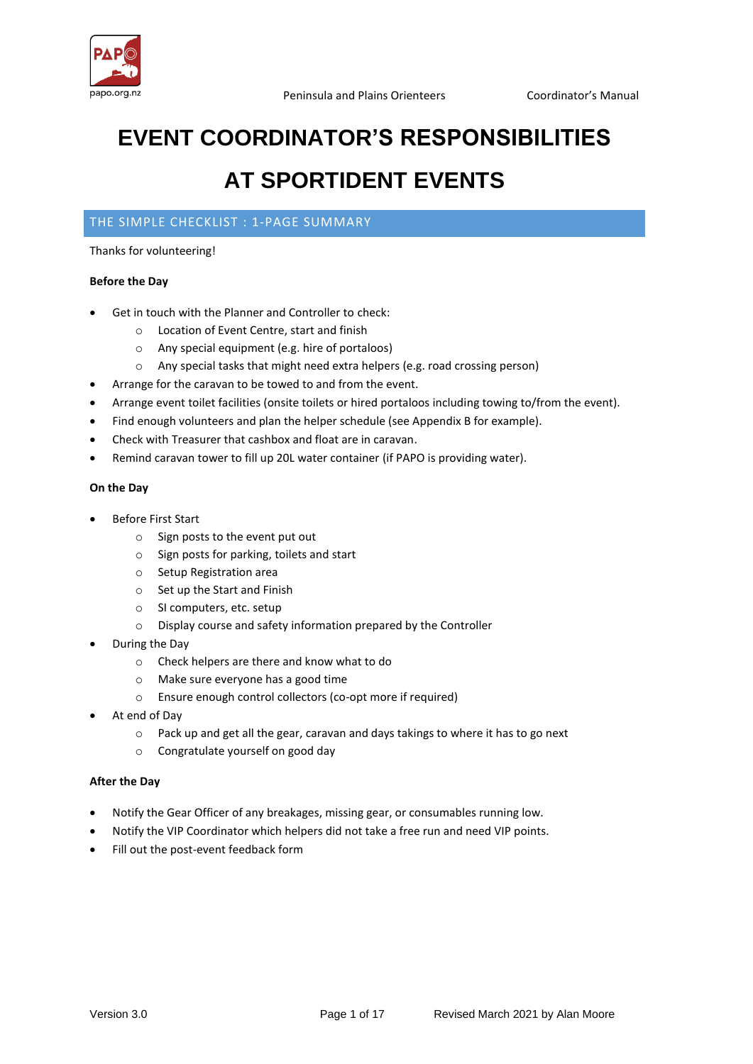

# **EVENT COORDINATOR'S RESPONSIBILITIES**

# **AT SPORTIDENT EVENTS**

# THE SIMPLE CHECKLIST : 1-PAGE SUMMARY

#### Thanks for volunteering!

#### **Before the Day**

- Get in touch with the Planner and Controller to check:
	- o Location of Event Centre, start and finish
	- o Any special equipment (e.g. hire of portaloos)
	- o Any special tasks that might need extra helpers (e.g. road crossing person)
- Arrange for the caravan to be towed to and from the event.
- Arrange event toilet facilities (onsite toilets or hired portaloos including towing to/from the event).
- Find enough volunteers and plan the helper schedule (see Appendix B for example).
- Check with Treasurer that cashbox and float are in caravan.
- Remind caravan tower to fill up 20L water container (if PAPO is providing water).

#### **On the Day**

- Before First Start
	- o Sign posts to the event put out
	- o Sign posts for parking, toilets and start
	- o Setup Registration area
	- o Set up the Start and Finish
	- o SI computers, etc. setup
	- o Display course and safety information prepared by the Controller
- During the Day
	- o Check helpers are there and know what to do
	- o Make sure everyone has a good time
	- o Ensure enough control collectors (co-opt more if required)
- At end of Day
	- o Pack up and get all the gear, caravan and days takings to where it has to go next
	- o Congratulate yourself on good day

#### **After the Day**

- Notify the Gear Officer of any breakages, missing gear, or consumables running low.
- Notify the VIP Coordinator which helpers did not take a free run and need VIP points.
- Fill out the post-event feedback form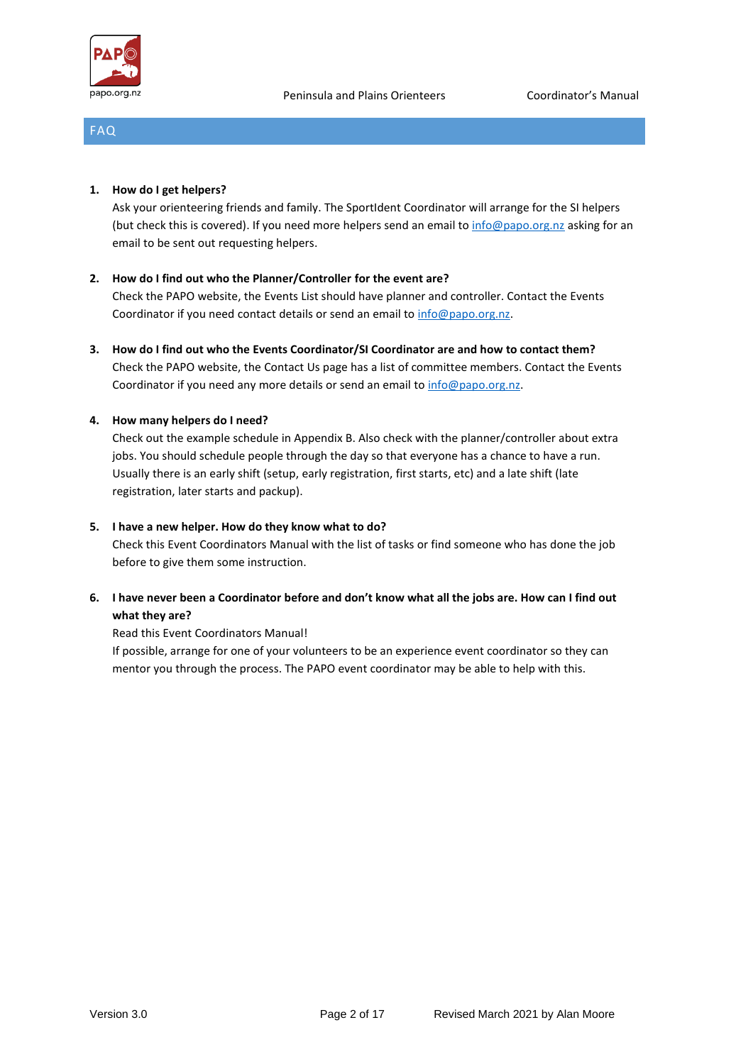

# FAQ

#### **1. How do I get helpers?**

Ask your orienteering friends and family. The SportIdent Coordinator will arrange for the SI helpers (but check this is covered). If you need more helpers send an email to [info@papo.org.nz](mailto:info@papo.org.nz) asking for an email to be sent out requesting helpers.

#### **2. How do I find out who the Planner/Controller for the event are?**

Check the PAPO website, the Events List should have planner and controller. Contact the Events Coordinator if you need contact details or send an email to [info@papo.org.nz.](mailto:info@papo.org.nz)

**3. How do I find out who the Events Coordinator/SI Coordinator are and how to contact them?** Check the PAPO website, the Contact Us page has a list of committee members. Contact the Events Coordinator if you need any more details or send an email to [info@papo.org.nz.](mailto:info@papo.org.nz)

#### **4. How many helpers do I need?**

Check out the example schedule in Appendix B. Also check with the planner/controller about extra jobs. You should schedule people through the day so that everyone has a chance to have a run. Usually there is an early shift (setup, early registration, first starts, etc) and a late shift (late registration, later starts and packup).

#### **5. I have a new helper. How do they know what to do?**

Check this Event Coordinators Manual with the list of tasks or find someone who has done the job before to give them some instruction.

# **6. I have never been a Coordinator before and don't know what all the jobs are. How can I find out what they are?**

#### Read this Event Coordinators Manual!

If possible, arrange for one of your volunteers to be an experience event coordinator so they can mentor you through the process. The PAPO event coordinator may be able to help with this.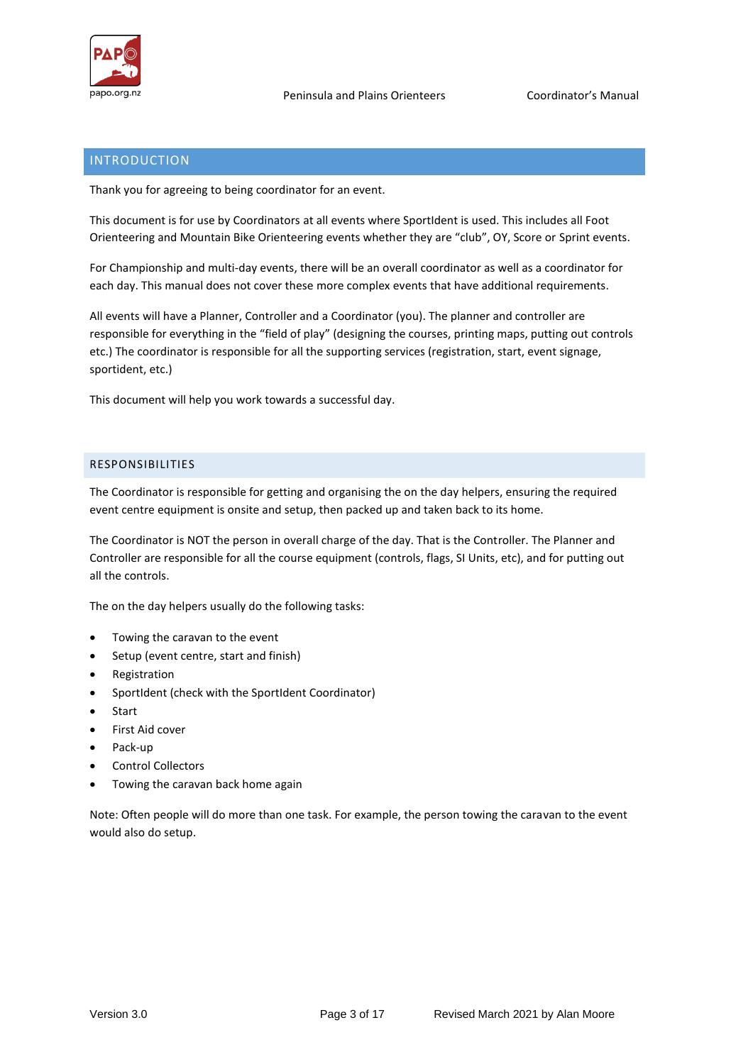

# INTRODUCTION

Thank you for agreeing to being coordinator for an event.

This document is for use by Coordinators at all events where SportIdent is used. This includes all Foot Orienteering and Mountain Bike Orienteering events whether they are "club", OY, Score or Sprint events.

For Championship and multi-day events, there will be an overall coordinator as well as a coordinator for each day. This manual does not cover these more complex events that have additional requirements.

All events will have a Planner, Controller and a Coordinator (you). The planner and controller are responsible for everything in the "field of play" (designing the courses, printing maps, putting out controls etc.) The coordinator is responsible for all the supporting services (registration, start, event signage, sportident, etc.)

This document will help you work towards a successful day.

#### RESPONSIBILITIES

The Coordinator is responsible for getting and organising the on the day helpers, ensuring the required event centre equipment is onsite and setup, then packed up and taken back to its home.

The Coordinator is NOT the person in overall charge of the day. That is the Controller. The Planner and Controller are responsible for all the course equipment (controls, flags, SI Units, etc), and for putting out all the controls.

The on the day helpers usually do the following tasks:

- Towing the caravan to the event
- Setup (event centre, start and finish)
- **Registration**
- SportIdent (check with the SportIdent Coordinator)
- **Start**
- First Aid cover
- Pack-up
- Control Collectors
- Towing the caravan back home again

Note: Often people will do more than one task. For example, the person towing the caravan to the event would also do setup.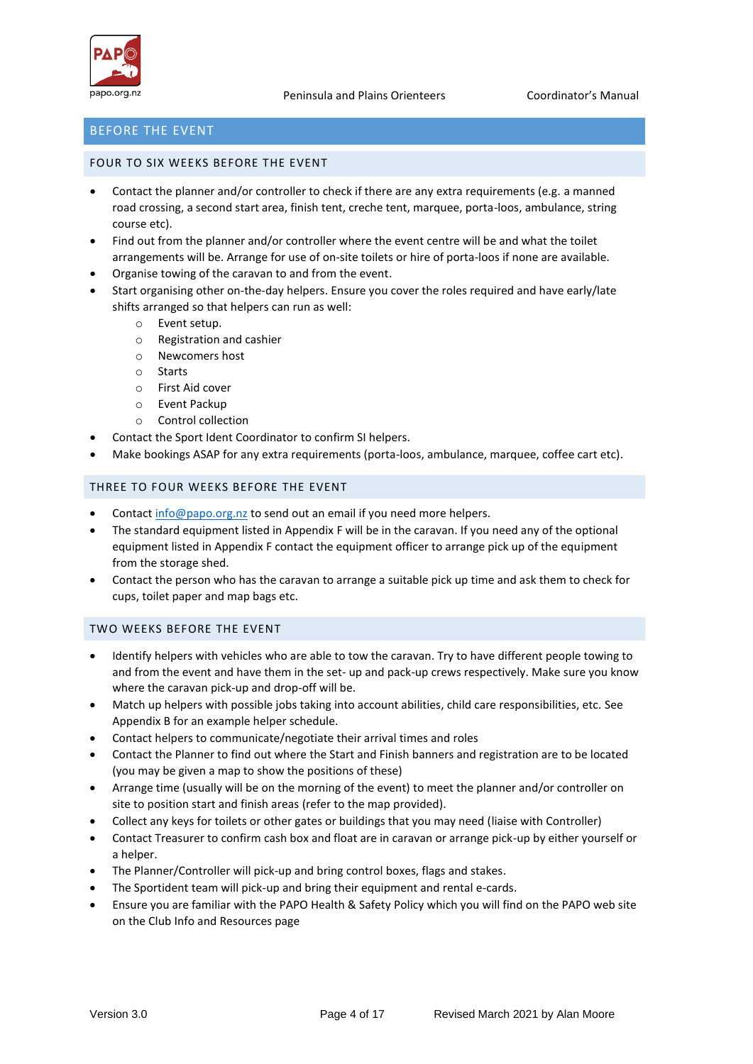

## BEFORE THE EVENT

#### FOUR TO SIX WEEKS BEFORE THE EVENT

- Contact the planner and/or controller to check if there are any extra requirements (e.g. a manned road crossing, a second start area, finish tent, creche tent, marquee, porta-loos, ambulance, string course etc).
- Find out from the planner and/or controller where the event centre will be and what the toilet arrangements will be. Arrange for use of on-site toilets or hire of porta-loos if none are available.
- Organise towing of the caravan to and from the event.
- Start organising other on-the-day helpers. Ensure you cover the roles required and have early/late shifts arranged so that helpers can run as well:
	- o Event setup.
	- o Registration and cashier
	- o Newcomers host
	- o Starts
	- o First Aid cover
	- o Event Packup
	- o Control collection
- Contact the Sport Ident Coordinator to confirm SI helpers.
- Make bookings ASAP for any extra requirements (porta-loos, ambulance, marquee, coffee cart etc).

#### THREE TO FOUR WEEKS BEFORE THE EVENT

- Contac[t info@papo.org.nz](mailto:info@papo.org.nz) to send out an email if you need more helpers.
- The standard equipment listed in Appendix F will be in the caravan. If you need any of the optional equipment listed in Appendix F contact the equipment officer to arrange pick up of the equipment from the storage shed.
- Contact the person who has the caravan to arrange a suitable pick up time and ask them to check for cups, toilet paper and map bags etc.

#### TWO WEEKS BEFORE THE EVENT

- Identify helpers with vehicles who are able to tow the caravan. Try to have different people towing to and from the event and have them in the set- up and pack-up crews respectively. Make sure you know where the caravan pick-up and drop-off will be.
- Match up helpers with possible jobs taking into account abilities, child care responsibilities, etc*.* See Appendix B for an example helper schedule.
- Contact helpers to communicate/negotiate their arrival times and roles
- Contact the Planner to find out where the Start and Finish banners and registration are to be located (you may be given a map to show the positions of these)
- Arrange time (usually will be on the morning of the event) to meet the planner and/or controller on site to position start and finish areas (refer to the map provided).
- Collect any keys for toilets or other gates or buildings that you may need (liaise with Controller)
- Contact Treasurer to confirm cash box and float are in caravan or arrange pick-up by either yourself or a helper.
- The Planner/Controller will pick-up and bring control boxes, flags and stakes.
- The Sportident team will pick-up and bring their equipment and rental e-cards.
- Ensure you are familiar with the PAPO Health & Safety Policy which you will find on the PAPO web site on the Club Info and Resources page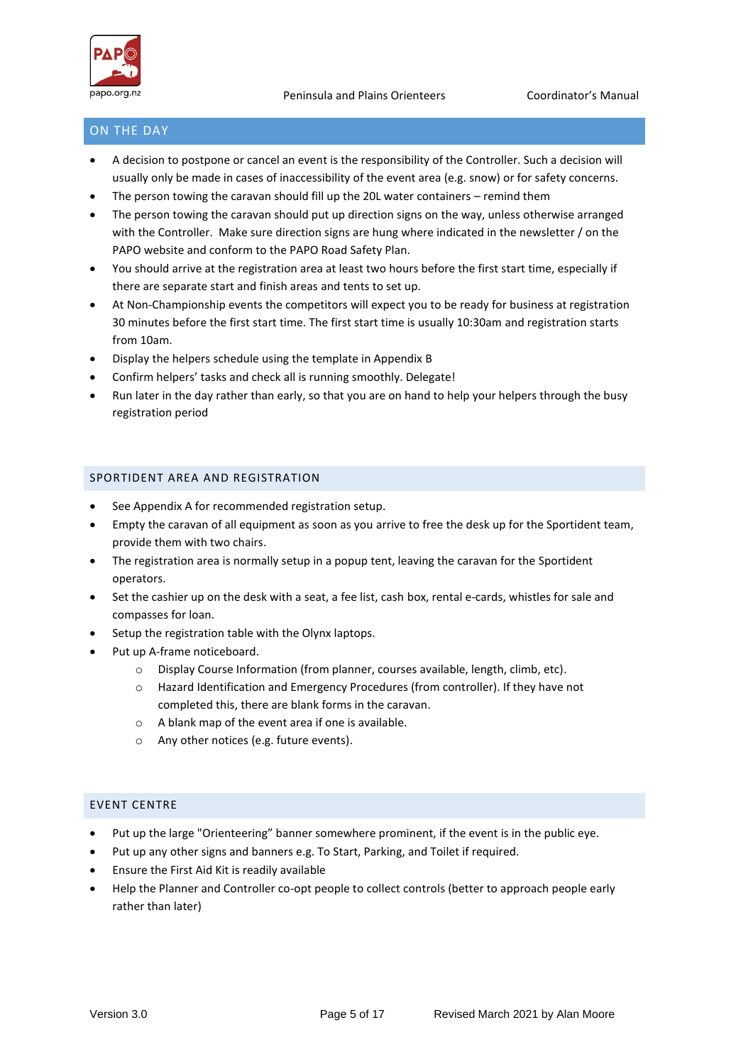

# ON THE DAY

- A decision to postpone or cancel an event is the responsibility of the Controller. Such a decision will usually only be made in cases of inaccessibility of the event area (e.g. snow) or for safety concerns.
- The person towing the caravan should fill up the 20L water containers remind them
- The person towing the caravan should put up direction signs on the way, unless otherwise arranged with the Controller. Make sure direction signs are hung where indicated in the newsletter / on the PAPO website and conform to the PAPO Road Safety Plan.
- You should arrive at the registration area at least two hours before the first start time, especially if there are separate start and finish areas and tents to set up.
- At Non-Championship events the competitors will expect you to be ready for business at registration 30 minutes before the first start time. The first start time is usually 10:30am and registration starts from 10am.
- Display the helpers schedule using the template in Appendix B
- Confirm helpers' tasks and check all is running smoothly. Delegate!
- Run later in the day rather than early, so that you are on hand to help your helpers through the busy registration period

#### SPORTIDENT AREA AND REGISTRATION

- See Appendix A for recommended registration setup.
- Empty the caravan of all equipment as soon as you arrive to free the desk up for the Sportident team, provide them with two chairs.
- The registration area is normally setup in a popup tent, leaving the caravan for the Sportident operators.
- Set the cashier up on the desk with a seat, a fee list, cash box, rental e-cards, whistles for sale and compasses for loan.
- Setup the registration table with the Olynx laptops.
- Put up A-frame noticeboard.
	- o Display Course Information (from planner, courses available, length, climb, etc).
	- o Hazard Identification and Emergency Procedures (from controller). If they have not completed this, there are blank forms in the caravan.
	- o A blank map of the event area if one is available.
	- o Any other notices (e.g. future events).

#### EVENT CENTRE

- Put up the large "Orienteering" banner somewhere prominent, if the event is in the public eye.
- Put up any other signs and banners e.g. To Start, Parking, and Toilet if required.
- Ensure the First Aid Kit is readily available
- Help the Planner and Controller co-opt people to collect controls (better to approach people early rather than later)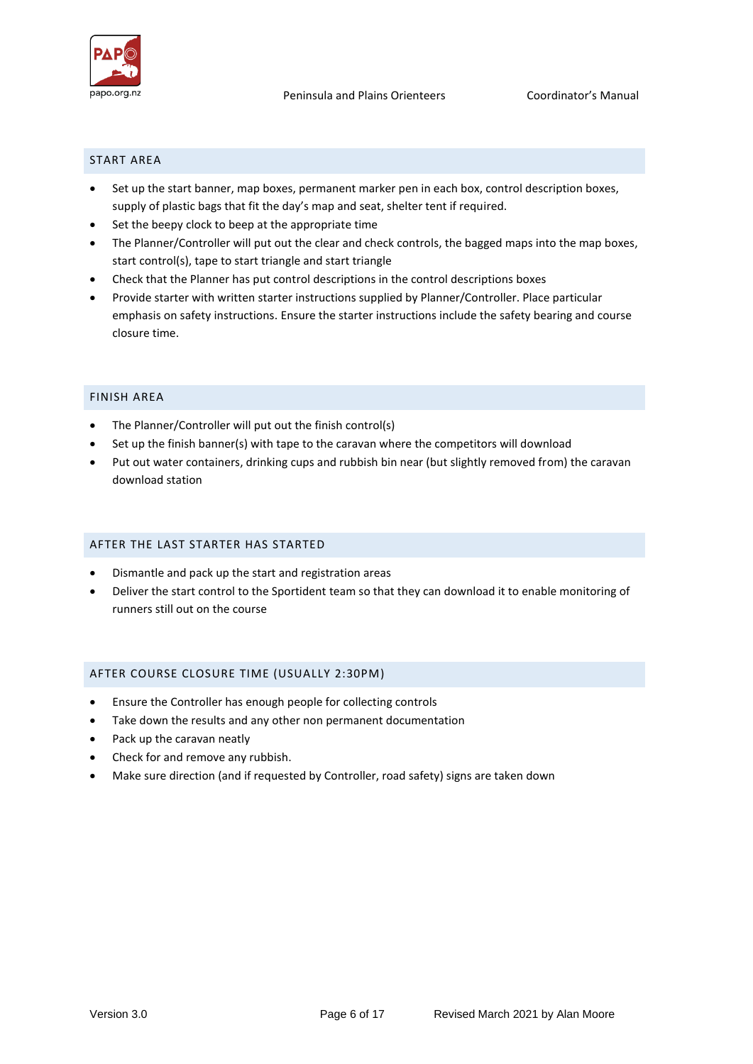

#### START AREA

- Set up the start banner, map boxes, permanent marker pen in each box, control description boxes, supply of plastic bags that fit the day's map and seat, shelter tent if required.
- Set the beepy clock to beep at the appropriate time
- The Planner/Controller will put out the clear and check controls, the bagged maps into the map boxes, start control(s), tape to start triangle and start triangle
- Check that the Planner has put control descriptions in the control descriptions boxes
- Provide starter with written starter instructions supplied by Planner/Controller. Place particular emphasis on safety instructions. Ensure the starter instructions include the safety bearing and course closure time.

#### FINISH AREA

- The Planner/Controller will put out the finish control(s)
- Set up the finish banner(s) with tape to the caravan where the competitors will download
- Put out water containers, drinking cups and rubbish bin near (but slightly removed from) the caravan download station

#### AFTER THE LAST STARTER HAS STARTED

- Dismantle and pack up the start and registration areas
- Deliver the start control to the Sportident team so that they can download it to enable monitoring of runners still out on the course

#### AFTER COURSE CLOSURE TIME (USUALLY 2:30PM)

- Ensure the Controller has enough people for collecting controls
- Take down the results and any other non permanent documentation
- Pack up the caravan neatly
- Check for and remove any rubbish.
- Make sure direction (and if requested by Controller, road safety) signs are taken down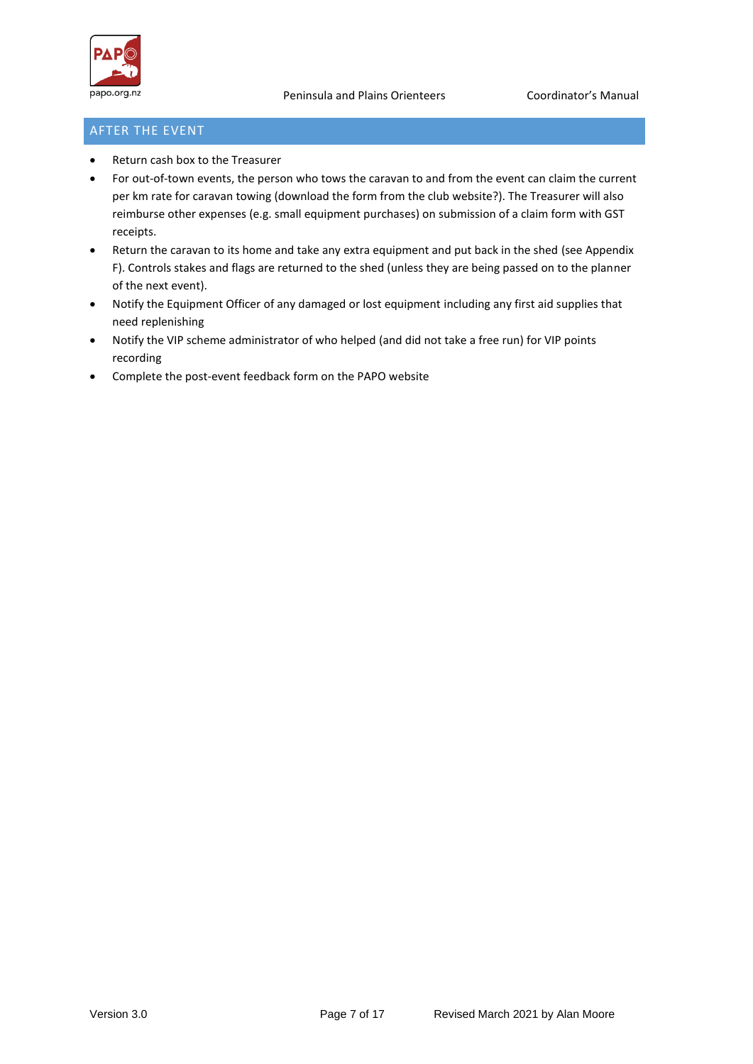

# AFTER THE EVENT

- Return cash box to the Treasurer
- For out-of-town events, the person who tows the caravan to and from the event can claim the current per km rate for caravan towing (download the form from the club website?). The Treasurer will also reimburse other expenses (e.g. small equipment purchases) on submission of a claim form with GST receipts.
- Return the caravan to its home and take any extra equipment and put back in the shed (see Appendix F). Controls stakes and flags are returned to the shed (unless they are being passed on to the planner of the next event).
- Notify the Equipment Officer of any damaged or lost equipment including any first aid supplies that need replenishing
- Notify the VIP scheme administrator of who helped (and did not take a free run) for VIP points recording
- Complete the post-event feedback form on the PAPO website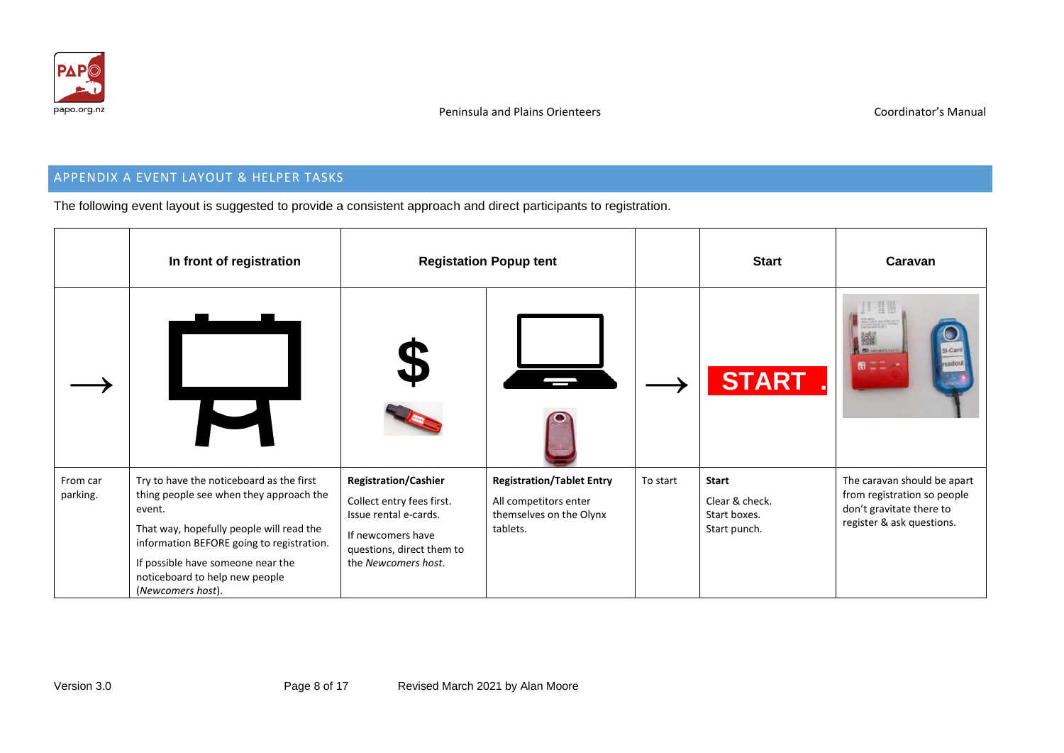

# APPENDIX A EVENT LAYOUT & HELPER TASKS

The following event layout is suggested to provide a consistent approach and direct participants to registration.

|                      | In front of registration                                                                                                                                                                                                                                                           |                                                                                                                                                            | <b>Registation Popup tent</b>                                                                    |          | <b>Start</b>                                                   | Caravan                                                                                                             |
|----------------------|------------------------------------------------------------------------------------------------------------------------------------------------------------------------------------------------------------------------------------------------------------------------------------|------------------------------------------------------------------------------------------------------------------------------------------------------------|--------------------------------------------------------------------------------------------------|----------|----------------------------------------------------------------|---------------------------------------------------------------------------------------------------------------------|
|                      |                                                                                                                                                                                                                                                                                    |                                                                                                                                                            |                                                                                                  |          | <b>START</b>                                                   | I-Cart<br><b>BL</b> APONYAIA<br>最正正                                                                                 |
| From car<br>parking. | Try to have the noticeboard as the first<br>thing people see when they approach the<br>event.<br>That way, hopefully people will read the<br>information BEFORE going to registration.<br>If possible have someone near the<br>noticeboard to help new people<br>(Newcomers host). | <b>Registration/Cashier</b><br>Collect entry fees first.<br>Issue rental e-cards.<br>If newcomers have<br>questions, direct them to<br>the Newcomers host. | <b>Registration/Tablet Entry</b><br>All competitors enter<br>themselves on the Olynx<br>tablets. | To start | <b>Start</b><br>Clear & check.<br>Start boxes.<br>Start punch. | The caravan should be apart<br>from registration so people<br>don't gravitate there to<br>register & ask questions. |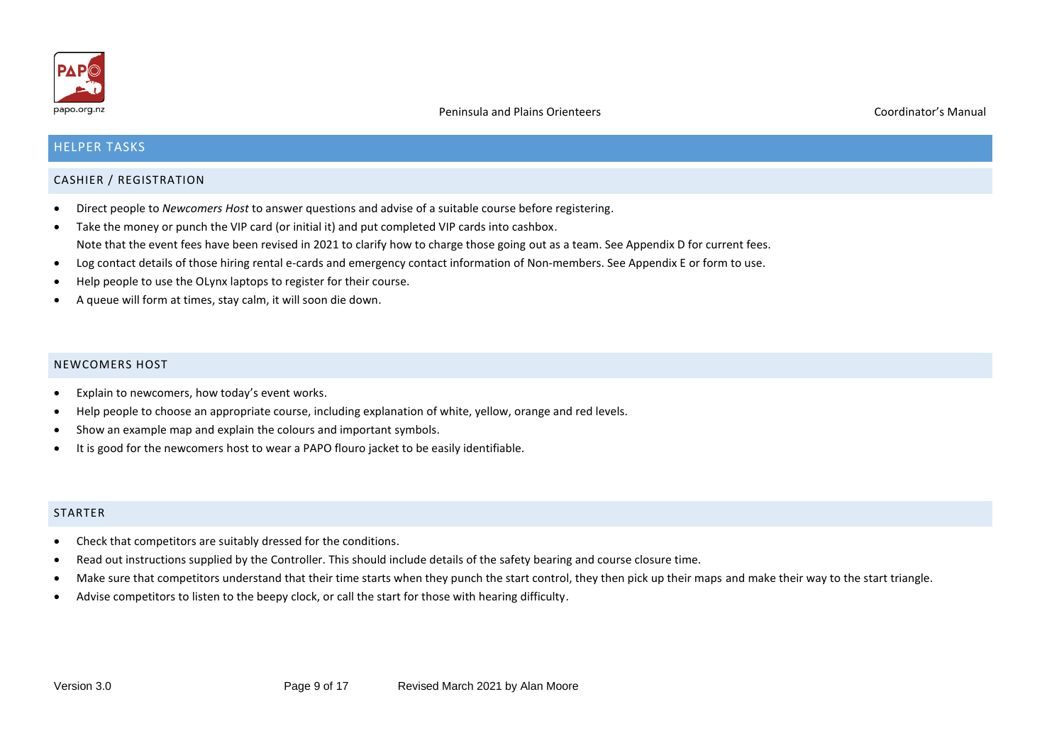

# HELPER TASKS

#### CASHIER / REGISTRATION

- Direct people to *Newcomers Host* to answer questions and advise of a suitable course before registering.
- Take the money or punch the VIP card (or initial it) and put completed VIP cards into cashbox. Note that the event fees have been revised in 2021 to clarify how to charge those going out as a team. See Appendix D for current fees.
- Log contact details of those hiring rental e-cards and emergency contact information of Non-members. See Appendix E or form to use.
- Help people to use the OLynx laptops to register for their course.
- A queue will form at times, stay calm, it will soon die down.

#### NEWCOMERS HOST

- Explain to newcomers, how today's event works.
- Help people to choose an appropriate course, including explanation of white, yellow, orange and red levels.
- Show an example map and explain the colours and important symbols.
- It is good for the newcomers host to wear a PAPO flouro jacket to be easily identifiable.

#### **STARTER**

- Check that competitors are suitably dressed for the conditions.
- Read out instructions supplied by the Controller. This should include details of the safety bearing and course closure time.
- Make sure that competitors understand that their time starts when they punch the start control, they then pick up their maps and make their way to the start triangle.
- Advise competitors to listen to the beepy clock, or call the start for those with hearing difficulty.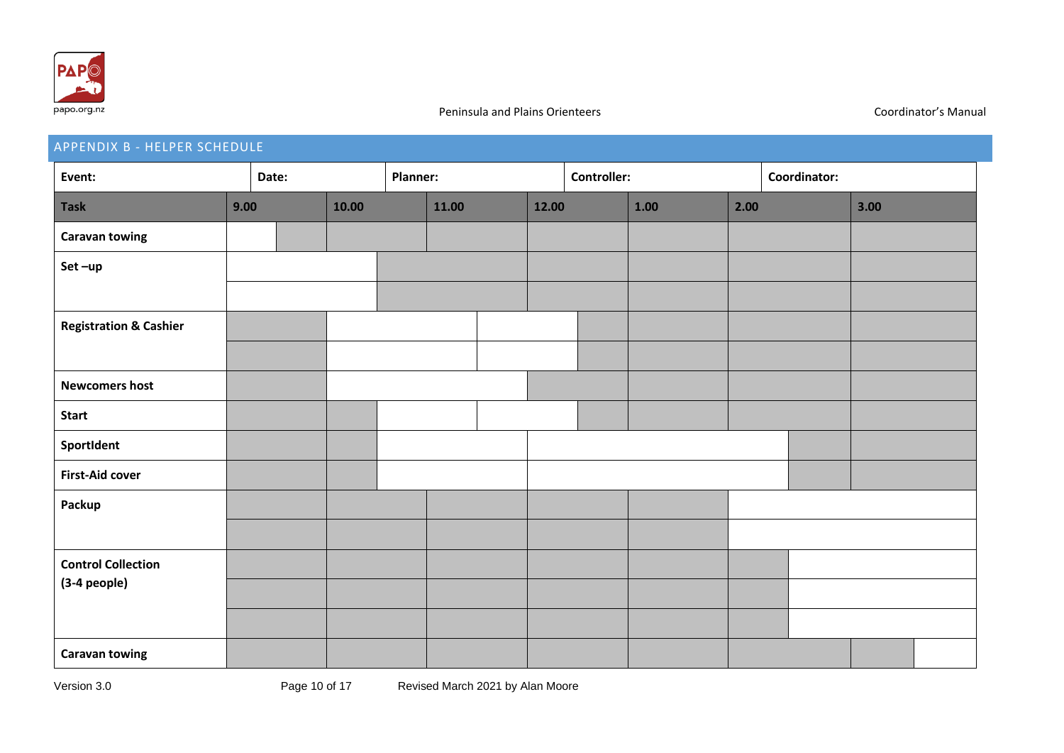

# APPENDIX B - HELPER SCHEDULE **Event: Date: Planner: Controller: Coordinator: Task 9.00 10.00 11.00 12.00 1.00 2.00 3.00 Caravan towing Set –up Registration & Cashier Newcomers host Start SportIdent First-Aid cover Packup Control Collection (3-4 people) Caravan towing**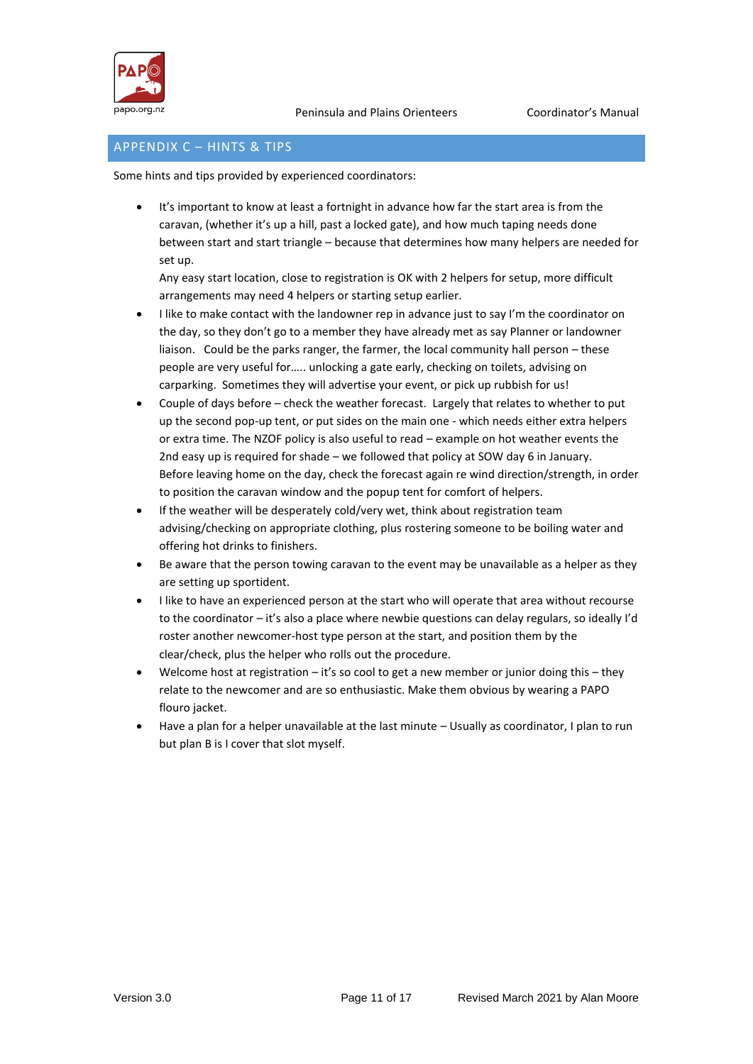

# APPENDIX C – HINTS & TIPS

Some hints and tips provided by experienced coordinators:

It's important to know at least a fortnight in advance how far the start area is from the caravan, (whether it's up a hill, past a locked gate), and how much taping needs done between start and start triangle – because that determines how many helpers are needed for set up.

Any easy start location, close to registration is OK with 2 helpers for setup, more difficult arrangements may need 4 helpers or starting setup earlier.

- I like to make contact with the landowner rep in advance just to say I'm the coordinator on the day, so they don't go to a member they have already met as say Planner or landowner liaison. Could be the parks ranger, the farmer, the local community hall person – these people are very useful for….. unlocking a gate early, checking on toilets, advising on carparking. Sometimes they will advertise your event, or pick up rubbish for us!
- Couple of days before check the weather forecast. Largely that relates to whether to put up the second pop-up tent, or put sides on the main one - which needs either extra helpers or extra time. The NZOF policy is also useful to read – example on hot weather events the 2nd easy up is required for shade – we followed that policy at SOW day 6 in January. Before leaving home on the day, check the forecast again re wind direction/strength, in order to position the caravan window and the popup tent for comfort of helpers.
- If the weather will be desperately cold/very wet, think about registration team advising/checking on appropriate clothing, plus rostering someone to be boiling water and offering hot drinks to finishers.
- Be aware that the person towing caravan to the event may be unavailable as a helper as they are setting up sportident.
- I like to have an experienced person at the start who will operate that area without recourse to the coordinator – it's also a place where newbie questions can delay regulars, so ideally I'd roster another newcomer-host type person at the start, and position them by the clear/check, plus the helper who rolls out the procedure.
- Welcome host at registration  $-$  it's so cool to get a new member or junior doing this  $-$  they relate to the newcomer and are so enthusiastic. Make them obvious by wearing a PAPO flouro jacket.
- Have a plan for a helper unavailable at the last minute Usually as coordinator, I plan to run but plan B is I cover that slot myself.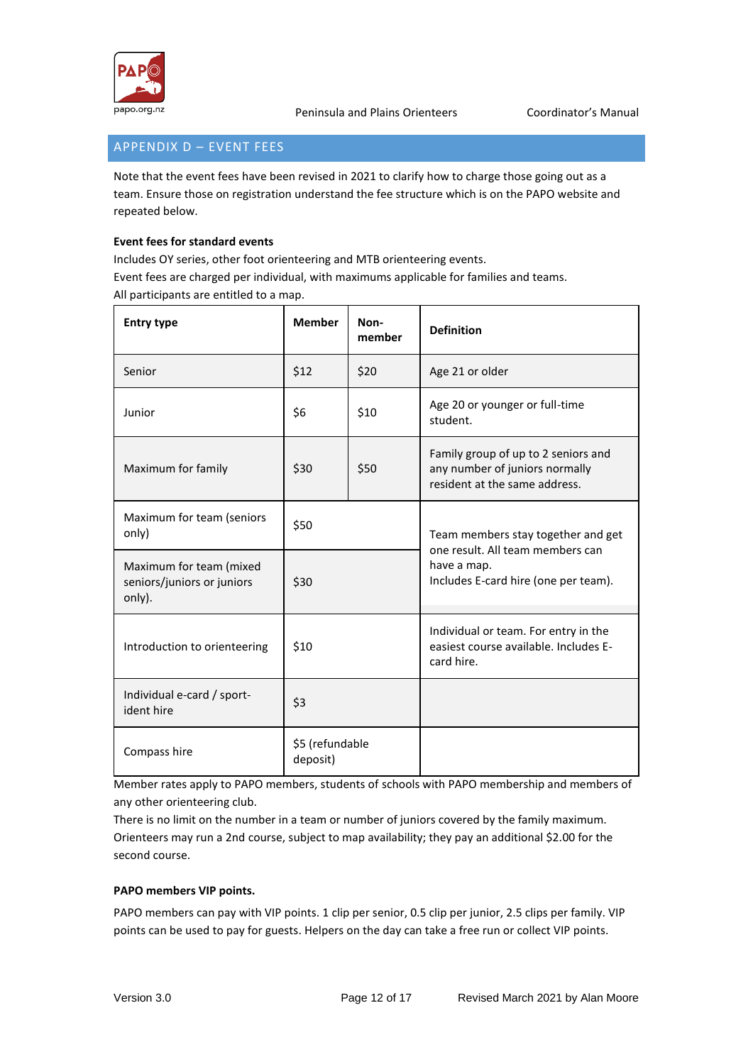

 $\overline{\phantom{a}}$ 

# APPENDIX D – EVENT FEES

Note that the event fees have been revised in 2021 to clarify how to charge those going out as a team. Ensure those on registration understand the fee structure which is on the PAPO website and repeated below.

# **Event fees for standard events**

Includes OY series, other foot orienteering and MTB orienteering events. Event fees are charged per individual, with maximums applicable for families and teams. All participants are entitled to a map.  $\mathsf{T}$ 

| <b>Entry type</b>                                               | <b>Member</b> | Non-<br>member | <b>Definition</b>                                                                                      |
|-----------------------------------------------------------------|---------------|----------------|--------------------------------------------------------------------------------------------------------|
| Senior                                                          | \$12<br>\$20  |                | Age 21 or older                                                                                        |
| Junior                                                          | \$6<br>\$10   |                | Age 20 or younger or full-time<br>student.                                                             |
| Maximum for family                                              | \$30          | \$50           | Family group of up to 2 seniors and<br>any number of juniors normally<br>resident at the same address. |
| Maximum for team (seniors<br>only)                              | \$50          |                | Team members stay together and get                                                                     |
| Maximum for team (mixed<br>seniors/juniors or juniors<br>only). | \$30          |                | one result. All team members can<br>have a map.<br>Includes E-card hire (one per team).                |
| Introduction to orienteering                                    | \$10          |                | Individual or team. For entry in the<br>easiest course available. Includes E-<br>card hire.            |
| Individual e-card / sport-<br>ident hire                        | \$3           |                |                                                                                                        |
| \$5 (refundable<br>Compass hire<br>deposit)                     |               |                |                                                                                                        |

Member rates apply to PAPO members, students of schools with PAPO membership and members of any other orienteering club.

There is no limit on the number in a team or number of juniors covered by the family maximum. Orienteers may run a 2nd course, subject to map availability; they pay an additional \$2.00 for the second course.

#### **PAPO members VIP points.**

PAPO members can pay with VIP points. 1 clip per senior, 0.5 clip per junior, 2.5 clips per family. VIP points can be used to pay for guests. Helpers on the day can take a free run or collect VIP points.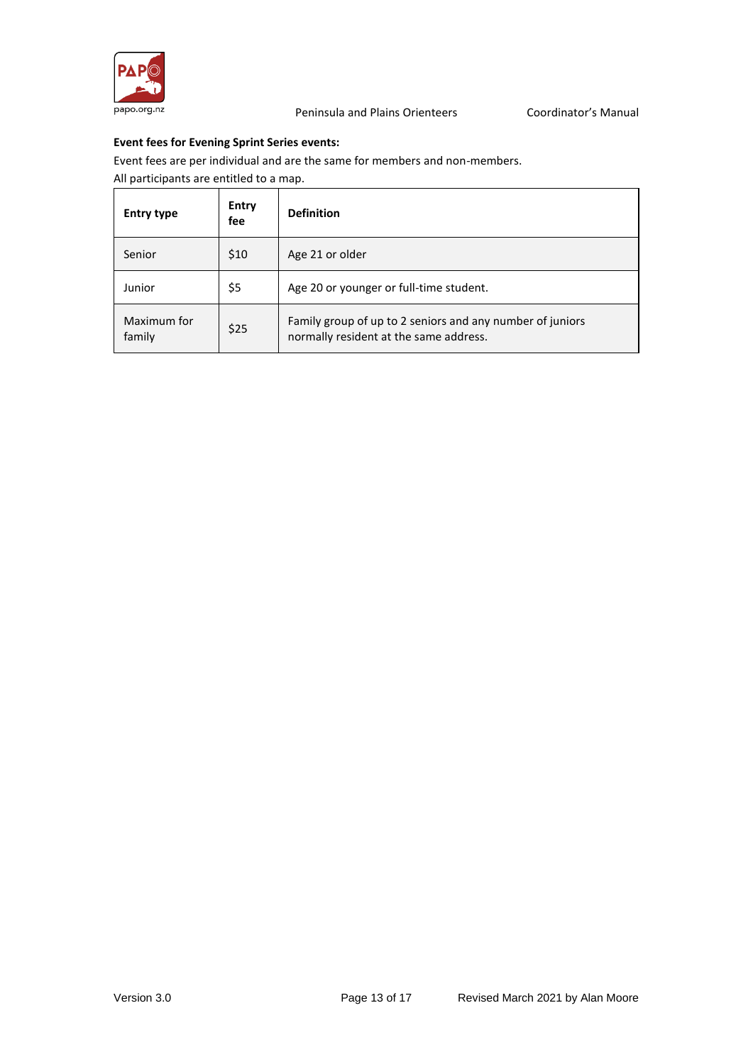

### **Event fees for Evening Sprint Series events:**

Event fees are per individual and are the same for members and non-members.

All participants are entitled to a map.

| <b>Entry type</b>     | <b>Entry</b><br>fee | <b>Definition</b>                                                                                   |
|-----------------------|---------------------|-----------------------------------------------------------------------------------------------------|
| Senior                | \$10                | Age 21 or older                                                                                     |
| Junior                | \$5                 | Age 20 or younger or full-time student.                                                             |
| Maximum for<br>family | \$25                | Family group of up to 2 seniors and any number of juniors<br>normally resident at the same address. |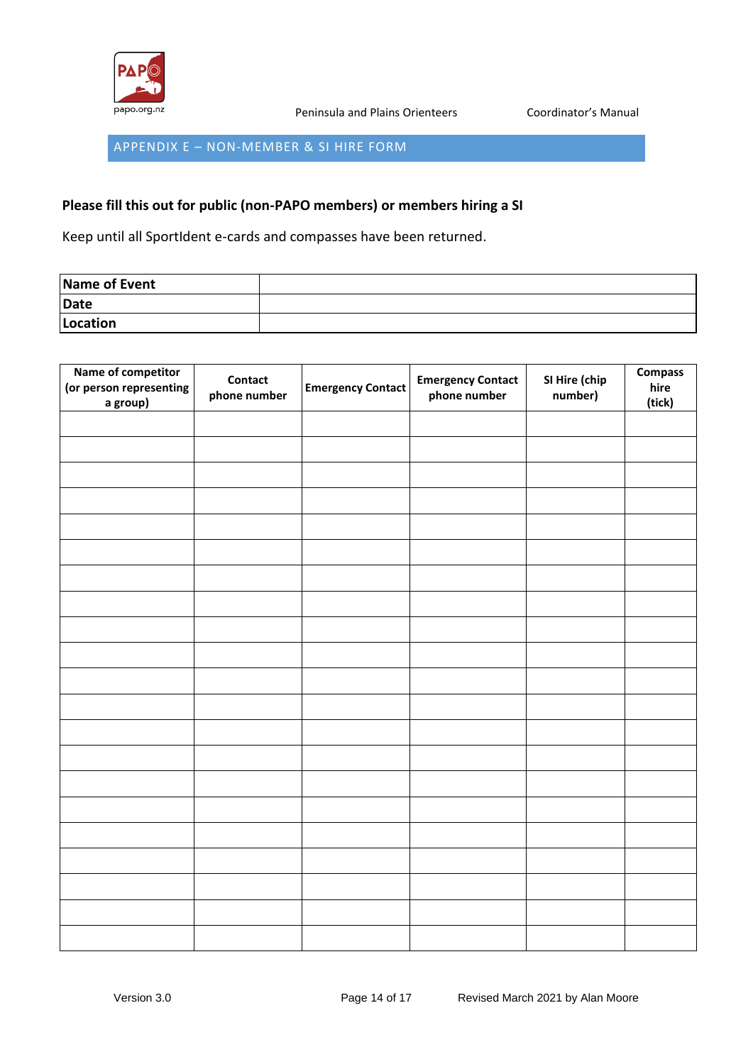

APPENDIX E – NON-MEMBER & SI HIRE FORM

# **Please fill this out for public (non-PAPO members) or members hiring a SI**

Keep until all SportIdent e-cards and compasses have been returned.

| Name of Event |  |
|---------------|--|
| Date          |  |
| Location      |  |

| Name of competitor<br>(or person representing<br>a group) | <b>Contact</b><br>phone number | <b>Emergency Contact</b> | <b>Emergency Contact</b><br>phone number | SI Hire (chip<br>number) | <b>Compass</b><br>hire<br>(tick) |
|-----------------------------------------------------------|--------------------------------|--------------------------|------------------------------------------|--------------------------|----------------------------------|
|                                                           |                                |                          |                                          |                          |                                  |
|                                                           |                                |                          |                                          |                          |                                  |
|                                                           |                                |                          |                                          |                          |                                  |
|                                                           |                                |                          |                                          |                          |                                  |
|                                                           |                                |                          |                                          |                          |                                  |
|                                                           |                                |                          |                                          |                          |                                  |
|                                                           |                                |                          |                                          |                          |                                  |
|                                                           |                                |                          |                                          |                          |                                  |
|                                                           |                                |                          |                                          |                          |                                  |
|                                                           |                                |                          |                                          |                          |                                  |
|                                                           |                                |                          |                                          |                          |                                  |
|                                                           |                                |                          |                                          |                          |                                  |
|                                                           |                                |                          |                                          |                          |                                  |
|                                                           |                                |                          |                                          |                          |                                  |
|                                                           |                                |                          |                                          |                          |                                  |
|                                                           |                                |                          |                                          |                          |                                  |
|                                                           |                                |                          |                                          |                          |                                  |
|                                                           |                                |                          |                                          |                          |                                  |
|                                                           |                                |                          |                                          |                          |                                  |
|                                                           |                                |                          |                                          |                          |                                  |
|                                                           |                                |                          |                                          |                          |                                  |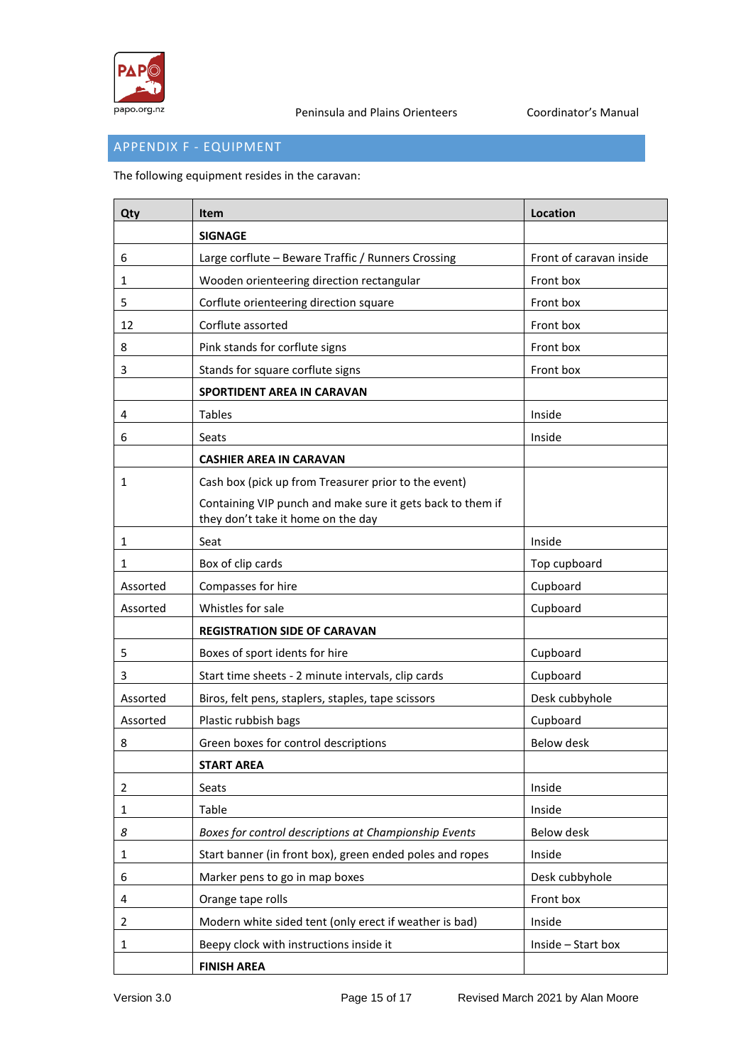

# APPENDIX F - EQUIPMENT

The following equipment resides in the caravan:

| Qty          | <b>Item</b>                                                                                      | Location                |
|--------------|--------------------------------------------------------------------------------------------------|-------------------------|
|              | <b>SIGNAGE</b>                                                                                   |                         |
| 6            | Large corflute - Beware Traffic / Runners Crossing                                               | Front of caravan inside |
| 1            | Wooden orienteering direction rectangular                                                        | Front box               |
| 5            | Corflute orienteering direction square                                                           | Front box               |
| 12           | Corflute assorted                                                                                | Front box               |
| 8            | Pink stands for corflute signs                                                                   | Front box               |
| 3            | Stands for square corflute signs                                                                 | Front box               |
|              | SPORTIDENT AREA IN CARAVAN                                                                       |                         |
| 4            | <b>Tables</b>                                                                                    | Inside                  |
| 6            | Seats                                                                                            | Inside                  |
|              | <b>CASHIER AREA IN CARAVAN</b>                                                                   |                         |
| 1            | Cash box (pick up from Treasurer prior to the event)                                             |                         |
|              | Containing VIP punch and make sure it gets back to them if<br>they don't take it home on the day |                         |
| 1            | Seat                                                                                             | Inside                  |
| 1            | Box of clip cards                                                                                | Top cupboard            |
| Assorted     | Compasses for hire                                                                               | Cupboard                |
| Assorted     | Whistles for sale                                                                                | Cupboard                |
|              | <b>REGISTRATION SIDE OF CARAVAN</b>                                                              |                         |
| 5            | Boxes of sport idents for hire                                                                   | Cupboard                |
| 3            | Start time sheets - 2 minute intervals, clip cards                                               | Cupboard                |
| Assorted     | Biros, felt pens, staplers, staples, tape scissors                                               | Desk cubbyhole          |
| Assorted     | Plastic rubbish bags                                                                             | Cupboard                |
| 8            | Green boxes for control descriptions                                                             | Below desk              |
|              | <b>START AREA</b>                                                                                |                         |
| 2            | Seats                                                                                            | Inside                  |
| $\mathbf{1}$ | Table                                                                                            | Inside                  |
| 8            | Boxes for control descriptions at Championship Events                                            | Below desk              |
| 1            | Start banner (in front box), green ended poles and ropes                                         | Inside                  |
| 6            | Marker pens to go in map boxes                                                                   | Desk cubbyhole          |
| 4            | Orange tape rolls                                                                                | Front box               |
| 2            | Modern white sided tent (only erect if weather is bad)                                           | Inside                  |
| 1            | Beepy clock with instructions inside it                                                          | Inside - Start box      |
|              | <b>FINISH AREA</b>                                                                               |                         |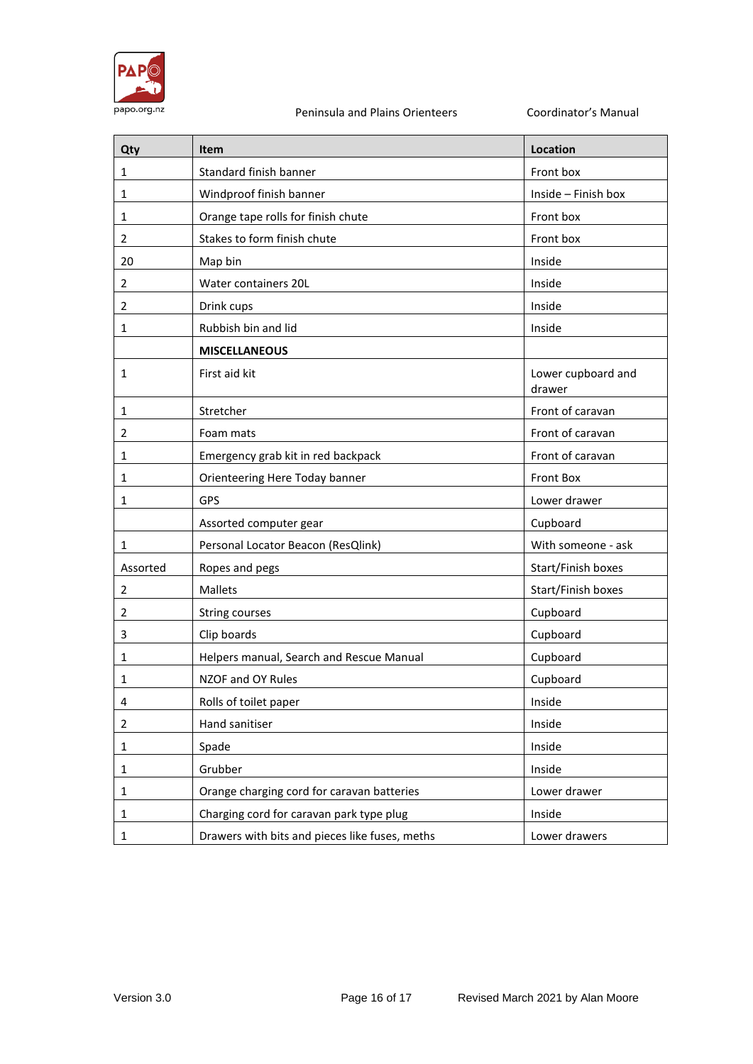

| Qty            | <b>Item</b>                                    | Location                     |
|----------------|------------------------------------------------|------------------------------|
| 1              | Standard finish banner                         | Front box                    |
| $\mathbf{1}$   | Windproof finish banner                        | Inside - Finish box          |
| 1              | Orange tape rolls for finish chute             | Front box                    |
| 2              | Stakes to form finish chute                    | Front box                    |
| 20             | Map bin                                        | Inside                       |
| 2              | Water containers 20L                           | Inside                       |
| 2              | Drink cups                                     | Inside                       |
| 1              | Rubbish bin and lid                            | Inside                       |
|                | <b>MISCELLANEOUS</b>                           |                              |
| 1              | First aid kit                                  | Lower cupboard and<br>drawer |
| 1              | Stretcher                                      | Front of caravan             |
| 2              | Foam mats                                      | Front of caravan             |
| 1              | Emergency grab kit in red backpack             | Front of caravan             |
| 1              | Orienteering Here Today banner                 | Front Box                    |
| 1              | <b>GPS</b>                                     | Lower drawer                 |
|                | Assorted computer gear                         | Cupboard                     |
| 1              | Personal Locator Beacon (ResQlink)             | With someone - ask           |
| Assorted       | Ropes and pegs                                 | Start/Finish boxes           |
| 2              | Mallets                                        | Start/Finish boxes           |
| 2              | String courses                                 | Cupboard                     |
| 3              | Clip boards                                    | Cupboard                     |
| 1              | Helpers manual, Search and Rescue Manual       | Cupboard                     |
| 1              | NZOF and OY Rules                              | Cupboard                     |
| 4              | Rolls of toilet paper                          | Inside                       |
| $\overline{2}$ | Hand sanitiser                                 | Inside                       |
| $\mathbf{1}$   | Spade                                          | Inside                       |
| 1              | Grubber                                        | Inside                       |
| 1              | Orange charging cord for caravan batteries     | Lower drawer                 |
| $\mathbf{1}$   | Charging cord for caravan park type plug       | Inside                       |
| $\mathbf{1}$   | Drawers with bits and pieces like fuses, meths | Lower drawers                |